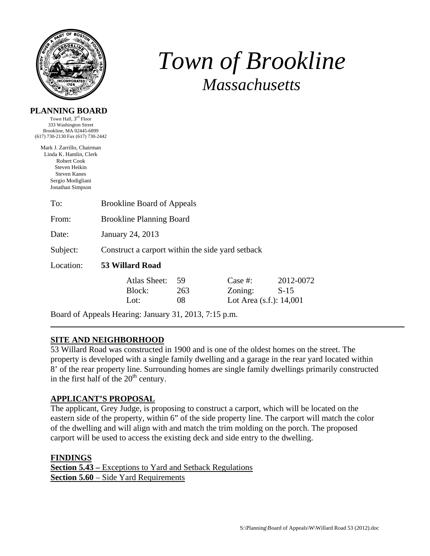

# *Town of Brookline Massachusetts*

| PLANNING BOARD |  |
|----------------|--|
|----------------|--|

Town Hall, 3rd Floor 333 Washington Street Brookline, MA 02445-6899 (617) 730-2130 Fax (617) 730-2442

Mark J. Zarrillo, Chairman Linda K. Hamlin, Clerk Robert Cook Steven Heikin Steven Kanes Sergio Modigliani Jonathan Simpson

| To:       | <b>Brookline Board of Appeals</b>                |                 |                                                  |                     |  |
|-----------|--------------------------------------------------|-----------------|--------------------------------------------------|---------------------|--|
| From:     | <b>Brookline Planning Board</b>                  |                 |                                                  |                     |  |
| Date:     | January 24, 2013                                 |                 |                                                  |                     |  |
| Subject:  | Construct a carport within the side yard setback |                 |                                                  |                     |  |
| Location: | 53 Willard Road                                  |                 |                                                  |                     |  |
|           | Atlas Sheet:<br>Block:<br>Lot:                   | 59<br>263<br>08 | Case #:<br>Zoning:<br>Lot Area $(s.f.)$ : 14,001 | 2012-0072<br>$S-15$ |  |

Board of Appeals Hearing: January 31, 2013, 7:15 p.m.

# **SITE AND NEIGHBORHOOD**

53 Willard Road was constructed in 1900 and is one of the oldest homes on the street. The property is developed with a single family dwelling and a garage in the rear yard located within 8' of the rear property line. Surrounding homes are single family dwellings primarily constructed in the first half of the  $20<sup>th</sup>$  century.

#### **APPLICANT'S PROPOSAL**

The applicant, Grey Judge, is proposing to construct a carport, which will be located on the eastern side of the property, within 6" of the side property line. The carport will match the color of the dwelling and will align with and match the trim molding on the porch. The proposed carport will be used to access the existing deck and side entry to the dwelling.

#### **FINDINGS**

| <b>Section 5.43</b> – Exceptions to Yard and Setback Regulations |
|------------------------------------------------------------------|
| <b>Section 5.60</b> – Side Yard Requirements                     |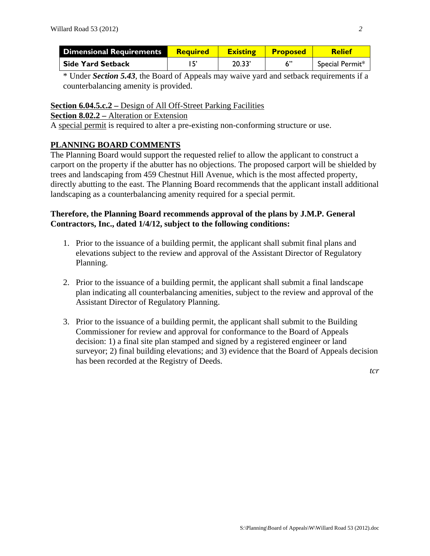| Dimensional Requirements | <b>Required</b> | <b>Existing</b> | <b>Proposed</b> | <b>Relief</b>   |
|--------------------------|-----------------|-----------------|-----------------|-----------------|
| <b>Side Yard Setback</b> |                 | 20.33'          |                 | Special Permit* |

\* Under *Section 5.43*, the Board of Appeals may waive yard and setback requirements if a counterbalancing amenity is provided.

#### **Section 6.04.5.c.2 –** Design of All Off-Street Parking Facilities

#### **Section 8.02.2 –** Alteration or Extension

A special permit is required to alter a pre-existing non-conforming structure or use.

## **PLANNING BOARD COMMENTS**

The Planning Board would support the requested relief to allow the applicant to construct a carport on the property if the abutter has no objections. The proposed carport will be shielded by trees and landscaping from 459 Chestnut Hill Avenue, which is the most affected property, directly abutting to the east. The Planning Board recommends that the applicant install additional landscaping as a counterbalancing amenity required for a special permit.

### **Therefore, the Planning Board recommends approval of the plans by J.M.P. General Contractors, Inc., dated 1/4/12, subject to the following conditions:**

- 1. Prior to the issuance of a building permit, the applicant shall submit final plans and elevations subject to the review and approval of the Assistant Director of Regulatory Planning.
- 2. Prior to the issuance of a building permit, the applicant shall submit a final landscape plan indicating all counterbalancing amenities, subject to the review and approval of the Assistant Director of Regulatory Planning.
- 3. Prior to the issuance of a building permit, the applicant shall submit to the Building Commissioner for review and approval for conformance to the Board of Appeals decision: 1) a final site plan stamped and signed by a registered engineer or land surveyor; 2) final building elevations; and 3) evidence that the Board of Appeals decision has been recorded at the Registry of Deeds.